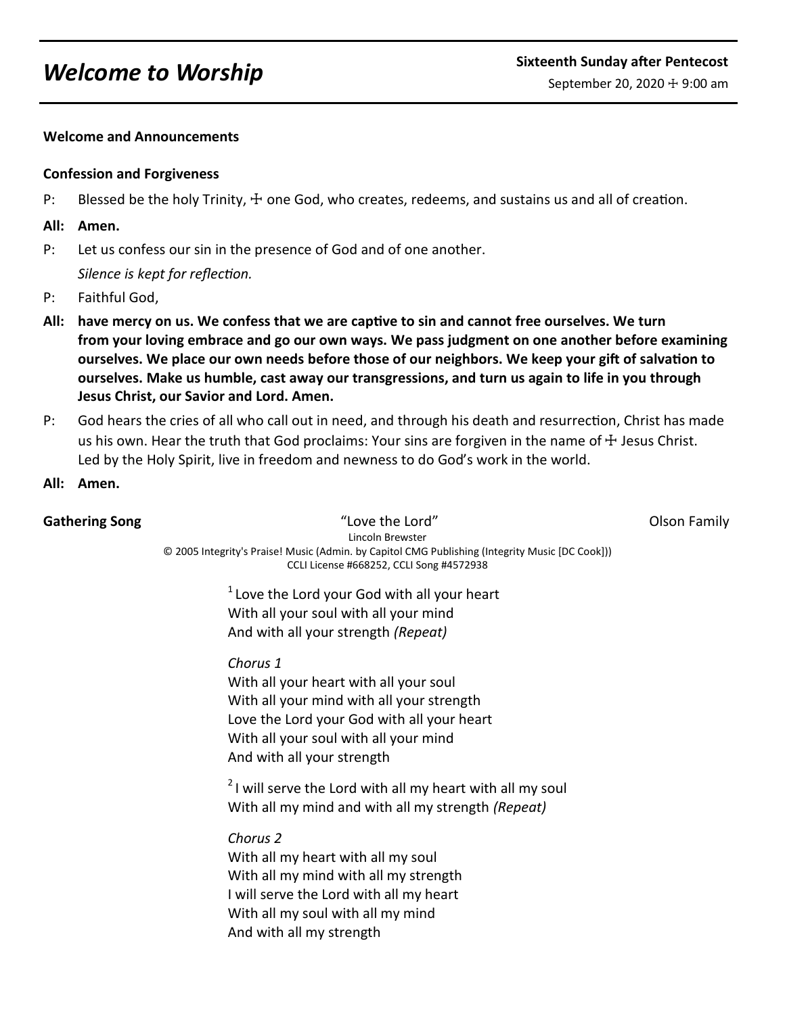## **Welcome and Announcements**

### **Confession and Forgiveness**

P: Blessed be the holy Trinity,  $\pm$  one God, who creates, redeems, and sustains us and all of creation.

### **All: Amen.**

P: Let us confess our sin in the presence of God and of one another.

*Silence is kept for reflection.*

- P: Faithful God,
- **All: have mercy on us. We confess that we are captive to sin and cannot free ourselves. We turn from your loving embrace and go our own ways. We pass judgment on one another before examining ourselves. We place our own needs before those of our neighbors. We keep your gift of salvation to ourselves. Make us humble, cast away our transgressions, and turn us again to life in you through Jesus Christ, our Savior and Lord. Amen.**
- P: God hears the cries of all who call out in need, and through his death and resurrection, Christ has made us his own. Hear the truth that God proclaims: Your sins are forgiven in the name of  $\pm$  Jesus Christ. Led by the Holy Spirit, live in freedom and newness to do God's work in the world.
- **All: Amen.**

**Gathering Song** The Community of the Lord of Love the Lord Theorem Colson Family Lincoln Brewster © 2005 Integrity's Praise! Music (Admin. by Capitol CMG Publishing (Integrity Music [DC Cook])) CCLI License #668252, CCLI Song #4572938

 $1$  Love the Lord your God with all your heart With all your soul with all your mind And with all your strength *(Repeat)*

## *Chorus 1*

With all your heart with all your soul With all your mind with all your strength Love the Lord your God with all your heart With all your soul with all your mind And with all your strength

 $2$ I will serve the Lord with all my heart with all my soul With all my mind and with all my strength *(Repeat)*

*Chorus 2*

With all my heart with all my soul With all my mind with all my strength I will serve the Lord with all my heart With all my soul with all my mind And with all my strength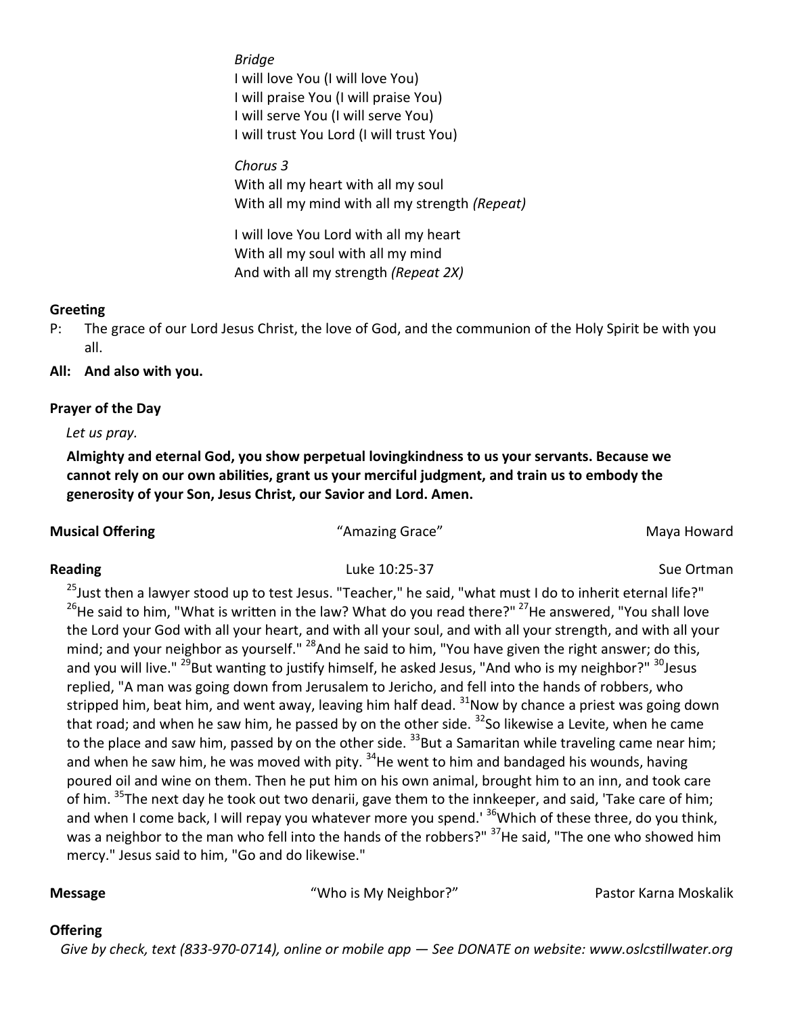*Bridge* I will love You (I will love You) I will praise You (I will praise You) I will serve You (I will serve You) I will trust You Lord (I will trust You)

*Chorus 3* With all my heart with all my soul With all my mind with all my strength *(Repeat)*

I will love You Lord with all my heart With all my soul with all my mind And with all my strength *(Repeat 2X)*

# **Greeting**

P: The grace of our Lord Jesus Christ, the love of God, and the communion of the Holy Spirit be with you all.

# **All: And also with you.**

# **Prayer of the Day**

*Let us pray.*

**Almighty and eternal God, you show perpetual lovingkindness to us your servants. Because we cannot rely on our own abilities, grant us your merciful judgment, and train us to embody the generosity of your Son, Jesus Christ, our Savior and Lord. Amen.**

**Musical Offering National Community Community Community Community Community Community Community Community Community Community Community Community Community Community Community Community Community Community Community Commu** 

Reading **Reading** Sue Ortman **Luke 10:25-37** Sue Ortman **Sue Ortman** 

<sup>25</sup> Just then a lawyer stood up to test Jesus. "Teacher," he said, "what must I do to inherit eternal life?" <sup>26</sup>He said to him, "What is written in the law? What do you read there?" <sup>27</sup>He answered, "You shall love the Lord your God with all your heart, and with all your soul, and with all your strength, and with all your mind; and your neighbor as yourself."  $^{28}$ And he said to him, "You have given the right answer; do this, and you will live." <sup>29</sup>But wanting to justify himself, he asked Jesus, "And who is my neighbor?" <sup>30</sup>Jesus replied, "A man was going down from Jerusalem to Jericho, and fell into the hands of robbers, who stripped him, beat him, and went away, leaving him half dead.  $31$ Now by chance a priest was going down that road; and when he saw him, he passed by on the other side. <sup>32</sup>So likewise a Levite, when he came to the place and saw him, passed by on the other side.  $33$ But a Samaritan while traveling came near him; and when he saw him, he was moved with pity.  $34$ He went to him and bandaged his wounds, having poured oil and wine on them. Then he put him on his own animal, brought him to an inn, and took care of him. <sup>35</sup>The next day he took out two denarii, gave them to the innkeeper, and said, 'Take care of him; and when I come back, I will repay you whatever more you spend.<sup>' 36</sup>Which of these three, do you think, was a neighbor to the man who fell into the hands of the robbers?" <sup>37</sup>He said, "The one who showed him mercy." Jesus said to him, "Go and do likewise."

**Message** "Who is My Neighbor?" Pastor Karna Moskalik

# **Offering**

 *Give by check, text (833-970-0714), online or mobile app — See DONATE on website: www.oslcstillwater.org*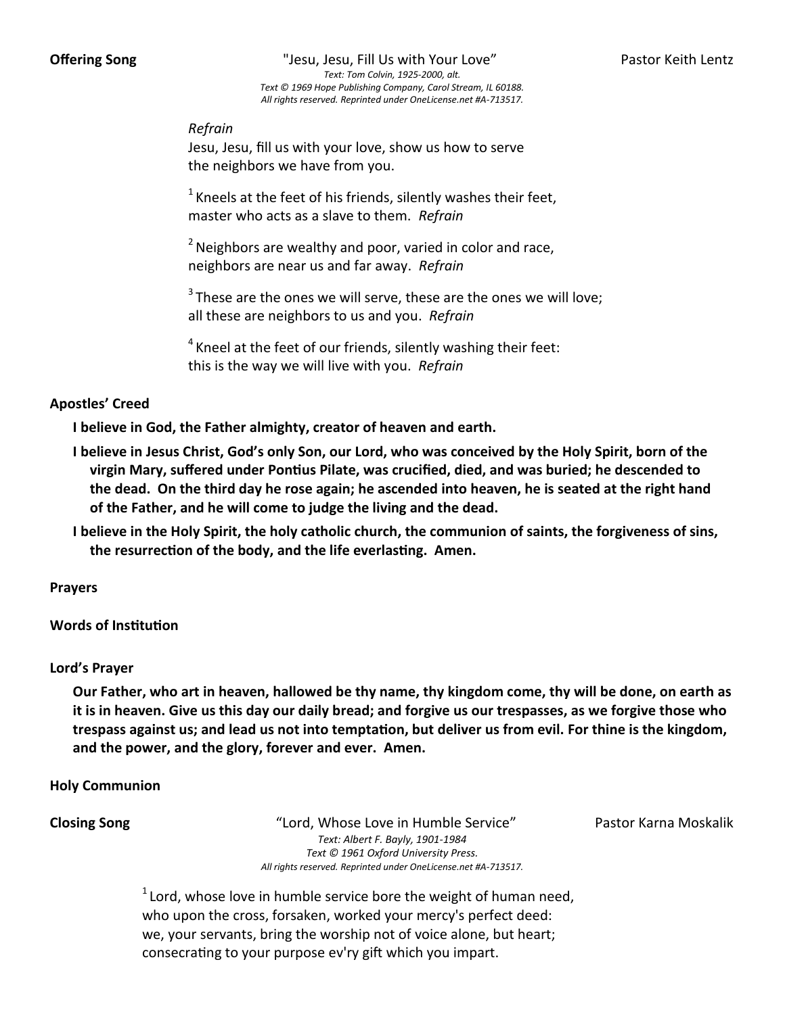**Offering Song** The Song Theory Clesu, Jesu, Fill Us with Your Love" Pastor Keith Lentz *Text: Tom Colvin, 1925-2000, alt. Text © 1969 Hope Publishing Company, Carol Stream, IL 60188. All rights reserved. Reprinted under OneLicense.net #A-713517.*

*Refrain*

Jesu, Jesu, fill us with your love, show us how to serve the neighbors we have from you.

 $1$  Kneels at the feet of his friends, silently washes their feet, master who acts as a slave to them. *Refrain*

 $2$  Neighbors are wealthy and poor, varied in color and race, neighbors are near us and far away. *Refrain*

 $3$ These are the ones we will serve, these are the ones we will love; all these are neighbors to us and you. *Refrain*

 $4$  Kneel at the feet of our friends, silently washing their feet: this is the way we will live with you. *Refrain*

## **Apostles' Creed**

**I believe in God, the Father almighty, creator of heaven and earth.** 

- **I believe in Jesus Christ, God's only Son, our Lord, who was conceived by the Holy Spirit, born of the virgin Mary, suffered under Pontius Pilate, was crucified, died, and was buried; he descended to the dead. On the third day he rose again; he ascended into heaven, he is seated at the right hand of the Father, and he will come to judge the living and the dead.**
- **I believe in the Holy Spirit, the holy catholic church, the communion of saints, the forgiveness of sins, the resurrection of the body, and the life everlasting. Amen.**

**Prayers**

**Words of Institution**

### **Lord's Prayer**

**Our Father, who art in heaven, hallowed be thy name, thy kingdom come, thy will be done, on earth as it is in heaven. Give us this day our daily bread; and forgive us our trespasses, as we forgive those who trespass against us; and lead us not into temptation, but deliver us from evil. For thine is the kingdom, and the power, and the glory, forever and ever. Amen.** 

**Holy Communion**

**Closing Song** The "Lord, Whose Love in Humble Service" Pastor Karna Moskalik *Text: Albert F. Bayly, 1901-1984 Text © 1961 Oxford University Press. All rights reserved. Reprinted under OneLicense.net #A-713517.*

 $1$  Lord, whose love in humble service bore the weight of human need, who upon the cross, forsaken, worked your mercy's perfect deed: we, your servants, bring the worship not of voice alone, but heart; consecrating to your purpose ev'ry gift which you impart.